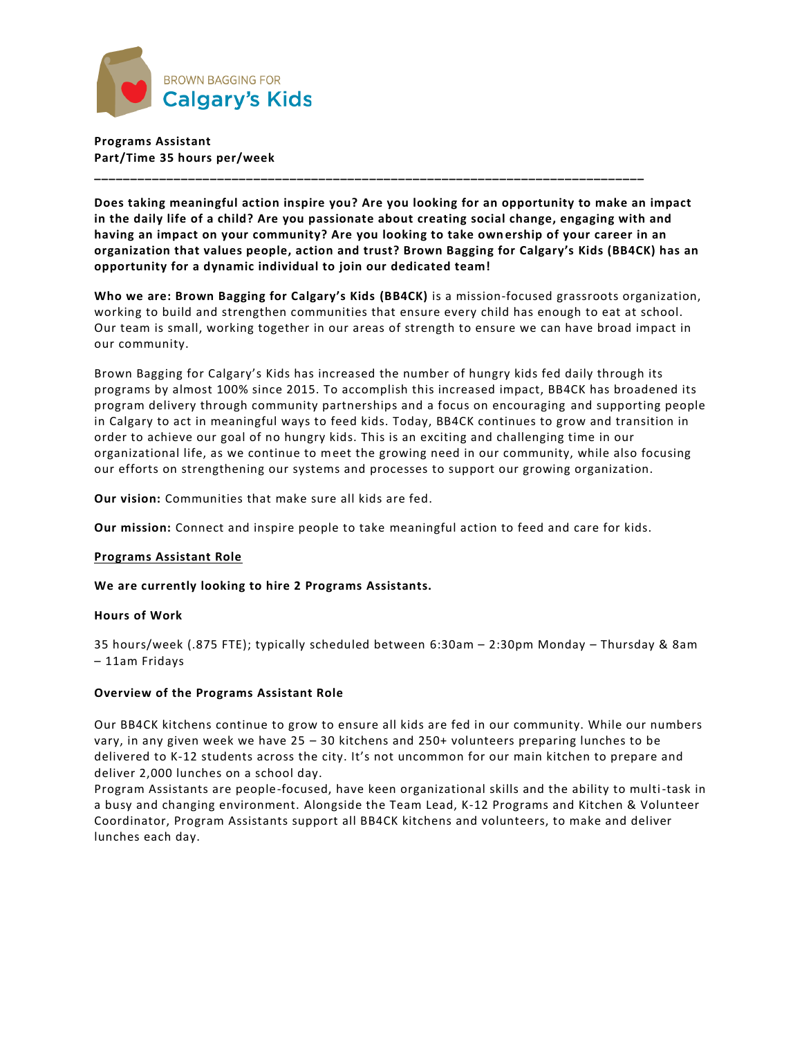

**Programs Assistant Part/Time 35 hours per/week**

**Does taking meaningful action inspire you? Are you looking for an opportunity to make an impact in the daily life of a child? Are you passionate about creating social change, engaging with and having an impact on your community? Are you looking to take own ership of your career in an organization that values people, action and trust? Brown Bagging for Calgary's Kids (BB4CK) has an opportunity for a dynamic individual to join our dedicated team!**

**\_\_\_\_\_\_\_\_\_\_\_\_\_\_\_\_\_\_\_\_\_\_\_\_\_\_\_\_\_\_\_\_\_\_\_\_\_\_\_\_\_\_\_\_\_\_\_\_\_\_\_\_\_\_\_\_\_\_\_\_\_\_\_\_\_\_\_\_\_\_\_\_\_\_\_\_**

**Who we are: Brown Bagging for Calgary's Kids (BB4CK)** is a mission-focused grassroots organization, working to build and strengthen communities that ensure every child has enough to eat at school. Our team is small, working together in our areas of strength to ensure we can have broad impact in our community.

Brown Bagging for Calgary's Kids has increased the number of hungry kids fed daily through its programs by almost 100% since 2015. To accomplish this increased impact, BB4CK has broadened its program delivery through community partnerships and a focus on encouraging and supporting people in Calgary to act in meaningful ways to feed kids. Today, BB4CK continues to grow and transition in order to achieve our goal of no hungry kids. This is an exciting and challenging time in our organizational life, as we continue to meet the growing need in our community, while also focusing our efforts on strengthening our systems and processes to support our growing organization.

**Our vision:** Communities that make sure all kids are fed.

**Our mission:** Connect and inspire people to take meaningful action to feed and care for kids.

### **Programs Assistant Role**

**We are currently looking to hire 2 Programs Assistants.**

#### **Hours of Work**

35 hours/week (.875 FTE); typically scheduled between 6:30am – 2:30pm Monday – Thursday & 8am – 11am Fridays

### **Overview of the Programs Assistant Role**

Our BB4CK kitchens continue to grow to ensure all kids are fed in our community. While our numbers vary, in any given week we have 25 – 30 kitchens and 250+ volunteers preparing lunches to be delivered to K-12 students across the city. It's not uncommon for our main kitchen to prepare and deliver 2,000 lunches on a school day.

Program Assistants are people-focused, have keen organizational skills and the ability to multi-task in a busy and changing environment. Alongside the Team Lead, K-12 Programs and Kitchen & Volunteer Coordinator, Program Assistants support all BB4CK kitchens and volunteers, to make and deliver lunches each day.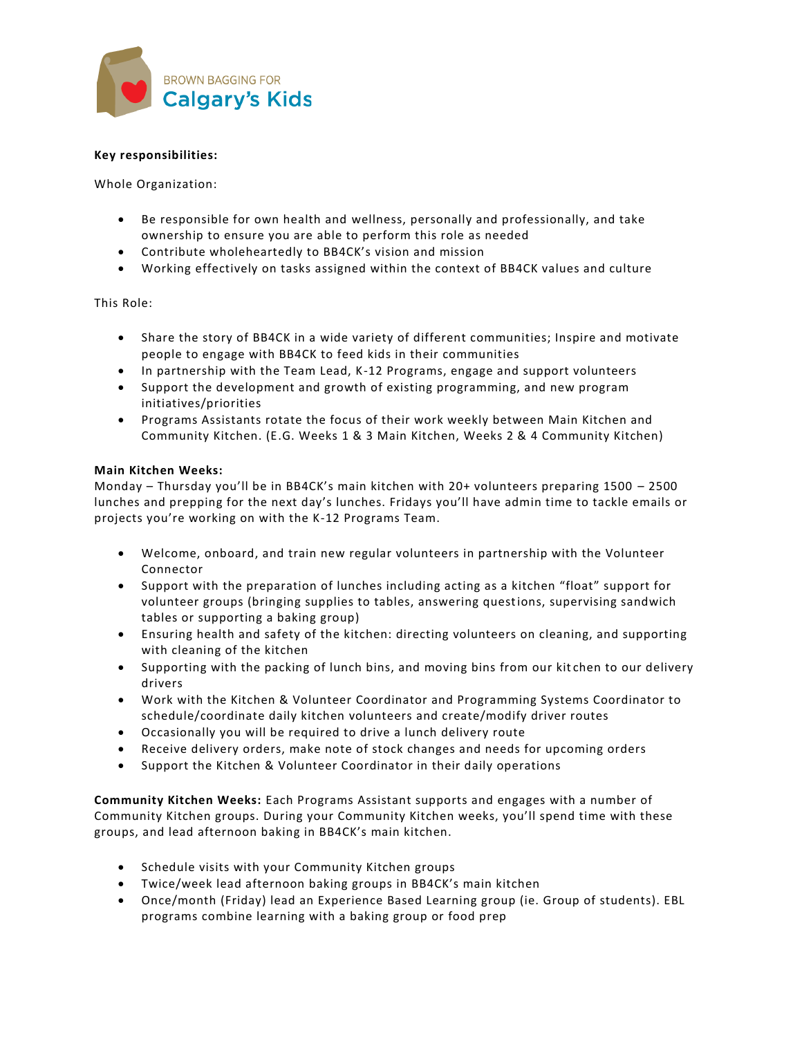

## **Key responsibilities:**

Whole Organization:

- Be responsible for own health and wellness, personally and professionally, and take ownership to ensure you are able to perform this role as needed
- Contribute wholeheartedly to BB4CK's vision and mission
- Working effectively on tasks assigned within the context of BB4CK values and culture

### This Role:

- Share the story of BB4CK in a wide variety of different communities; Inspire and motivate people to engage with BB4CK to feed kids in their communities
- In partnership with the Team Lead, K-12 Programs, engage and support volunteers
- Support the development and growth of existing programming, and new program initiatives/priorities
- Programs Assistants rotate the focus of their work weekly between Main Kitchen and Community Kitchen. (E.G. Weeks 1 & 3 Main Kitchen, Weeks 2 & 4 Community Kitchen)

#### **Main Kitchen Weeks:**

Monday – Thursday you'll be in BB4CK's main kitchen with 20+ volunteers preparing 1500 – 2500 lunches and prepping for the next day's lunches. Fridays you'll have admin time to tackle emails or projects you're working on with the K-12 Programs Team.

- Welcome, onboard, and train new regular volunteers in partnership with the Volunteer Connector
- Support with the preparation of lunches including acting as a kitchen "float" support for volunteer groups (bringing supplies to tables, answering questions, supervising sandwich tables or supporting a baking group)
- Ensuring health and safety of the kitchen: directing volunteers on cleaning, and supporting with cleaning of the kitchen
- Supporting with the packing of lunch bins, and moving bins from our kitchen to our delivery drivers
- Work with the Kitchen & Volunteer Coordinator and Programming Systems Coordinator to schedule/coordinate daily kitchen volunteers and create/modify driver routes
- Occasionally you will be required to drive a lunch delivery route
- Receive delivery orders, make note of stock changes and needs for upcoming orders
- Support the Kitchen & Volunteer Coordinator in their daily operations

**Community Kitchen Weeks:** Each Programs Assistant supports and engages with a number of Community Kitchen groups. During your Community Kitchen weeks, you'll spend time with these groups, and lead afternoon baking in BB4CK's main kitchen.

- Schedule visits with your Community Kitchen groups
- Twice/week lead afternoon baking groups in BB4CK's main kitchen
- Once/month (Friday) lead an Experience Based Learning group (ie. Group of students). EBL programs combine learning with a baking group or food prep